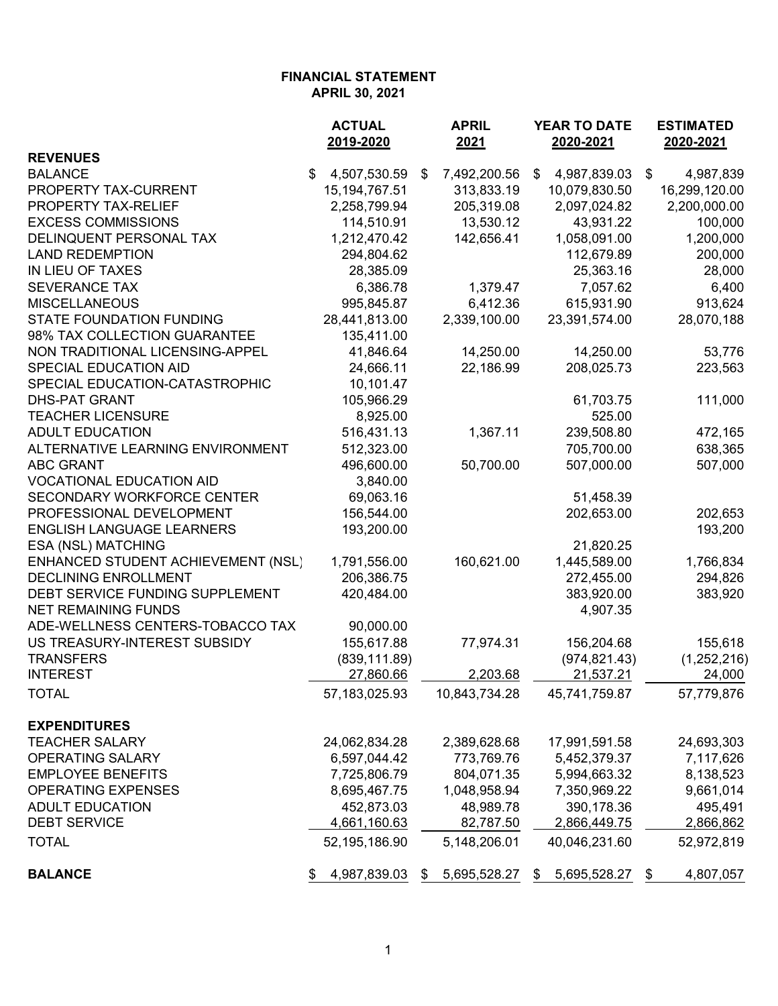|                                    | <b>ACTUAL</b>      | <b>APRIL</b>       | YEAR TO DATE       | <b>ESTIMATED</b> |  |
|------------------------------------|--------------------|--------------------|--------------------|------------------|--|
|                                    | 2019-2020          | 2021               | 2020-2021          | 2020-2021        |  |
| <b>REVENUES</b>                    |                    |                    |                    |                  |  |
| <b>BALANCE</b>                     | \$<br>4,507,530.59 | 7,492,200.56<br>\$ | \$<br>4,987,839.03 | \$<br>4,987,839  |  |
| PROPERTY TAX-CURRENT               | 15, 194, 767. 51   | 313,833.19         | 10,079,830.50      | 16,299,120.00    |  |
| PROPERTY TAX-RELIEF                | 2,258,799.94       | 205,319.08         | 2,097,024.82       | 2,200,000.00     |  |
| <b>EXCESS COMMISSIONS</b>          | 114,510.91         | 13,530.12          | 43,931.22          | 100,000          |  |
| DELINQUENT PERSONAL TAX            | 1,212,470.42       | 142,656.41         | 1,058,091.00       | 1,200,000        |  |
| <b>LAND REDEMPTION</b>             | 294,804.62         |                    | 112,679.89         | 200,000          |  |
| IN LIEU OF TAXES                   | 28,385.09          |                    | 25,363.16          | 28,000           |  |
| <b>SEVERANCE TAX</b>               | 6,386.78           | 1,379.47           | 7,057.62           | 6,400            |  |
| <b>MISCELLANEOUS</b>               | 995,845.87         | 6,412.36           | 615,931.90         | 913,624          |  |
| <b>STATE FOUNDATION FUNDING</b>    | 28,441,813.00      | 2,339,100.00       | 23,391,574.00      | 28,070,188       |  |
| 98% TAX COLLECTION GUARANTEE       | 135,411.00         |                    |                    |                  |  |
| NON TRADITIONAL LICENSING-APPEL    | 41,846.64          | 14,250.00          | 14,250.00          | 53,776           |  |
| <b>SPECIAL EDUCATION AID</b>       | 24,666.11          | 22,186.99          | 208,025.73         | 223,563          |  |
| SPECIAL EDUCATION-CATASTROPHIC     | 10,101.47          |                    |                    |                  |  |
| <b>DHS-PAT GRANT</b>               | 105,966.29         |                    | 61,703.75          | 111,000          |  |
| <b>TEACHER LICENSURE</b>           | 8,925.00           |                    | 525.00             |                  |  |
| <b>ADULT EDUCATION</b>             | 516,431.13         | 1,367.11           | 239,508.80         | 472,165          |  |
| ALTERNATIVE LEARNING ENVIRONMENT   | 512,323.00         |                    | 705,700.00         | 638,365          |  |
| <b>ABC GRANT</b>                   | 496,600.00         | 50,700.00          | 507,000.00         | 507,000          |  |
| <b>VOCATIONAL EDUCATION AID</b>    | 3,840.00           |                    |                    |                  |  |
| <b>SECONDARY WORKFORCE CENTER</b>  | 69,063.16          |                    | 51,458.39          |                  |  |
| PROFESSIONAL DEVELOPMENT           | 156,544.00         |                    | 202,653.00         | 202,653          |  |
| <b>ENGLISH LANGUAGE LEARNERS</b>   | 193,200.00         |                    |                    | 193,200          |  |
| ESA (NSL) MATCHING                 |                    |                    | 21,820.25          |                  |  |
| ENHANCED STUDENT ACHIEVEMENT (NSL) | 1,791,556.00       | 160,621.00         | 1,445,589.00       | 1,766,834        |  |
| <b>DECLINING ENROLLMENT</b>        | 206,386.75         |                    | 272,455.00         | 294,826          |  |
| DEBT SERVICE FUNDING SUPPLEMENT    | 420,484.00         |                    | 383,920.00         | 383,920          |  |
| <b>NET REMAINING FUNDS</b>         |                    |                    | 4,907.35           |                  |  |
| ADE-WELLNESS CENTERS-TOBACCO TAX   | 90,000.00          |                    |                    |                  |  |
| US TREASURY-INTEREST SUBSIDY       | 155,617.88         | 77,974.31          | 156,204.68         | 155,618          |  |
| <b>TRANSFERS</b>                   | (839, 111.89)      |                    | (974, 821.43)      | (1,252,216)      |  |
| <b>INTEREST</b>                    | 27,860.66          | 2,203.68           | 21,537.21          | 24,000           |  |
| <b>TOTAL</b>                       | 57,183,025.93      | 10,843,734.28      | 45,741,759.87      | 57,779,876       |  |
|                                    |                    |                    |                    |                  |  |
| <b>EXPENDITURES</b>                |                    |                    |                    |                  |  |
| <b>TEACHER SALARY</b>              | 24,062,834.28      | 2,389,628.68       | 17,991,591.58      | 24,693,303       |  |
| <b>OPERATING SALARY</b>            | 6,597,044.42       | 773,769.76         | 5,452,379.37       | 7,117,626        |  |
| <b>EMPLOYEE BENEFITS</b>           | 7,725,806.79       | 804,071.35         | 5,994,663.32       | 8,138,523        |  |
| <b>OPERATING EXPENSES</b>          | 8,695,467.75       | 1,048,958.94       | 7,350,969.22       | 9,661,014        |  |
| <b>ADULT EDUCATION</b>             | 452,873.03         | 48,989.78          | 390,178.36         | 495,491          |  |
| <b>DEBT SERVICE</b>                | 4,661,160.63       | 82,787.50          | 2,866,449.75       | 2,866,862        |  |
| <b>TOTAL</b>                       | 52,195,186.90      | 5,148,206.01       | 40,046,231.60      | 52,972,819       |  |
| <b>BALANCE</b>                     | 4,987,839.03<br>\$ | 5,695,528.27<br>\$ | 5,695,528.27<br>\$ | 4,807,057<br>\$  |  |
|                                    |                    |                    |                    |                  |  |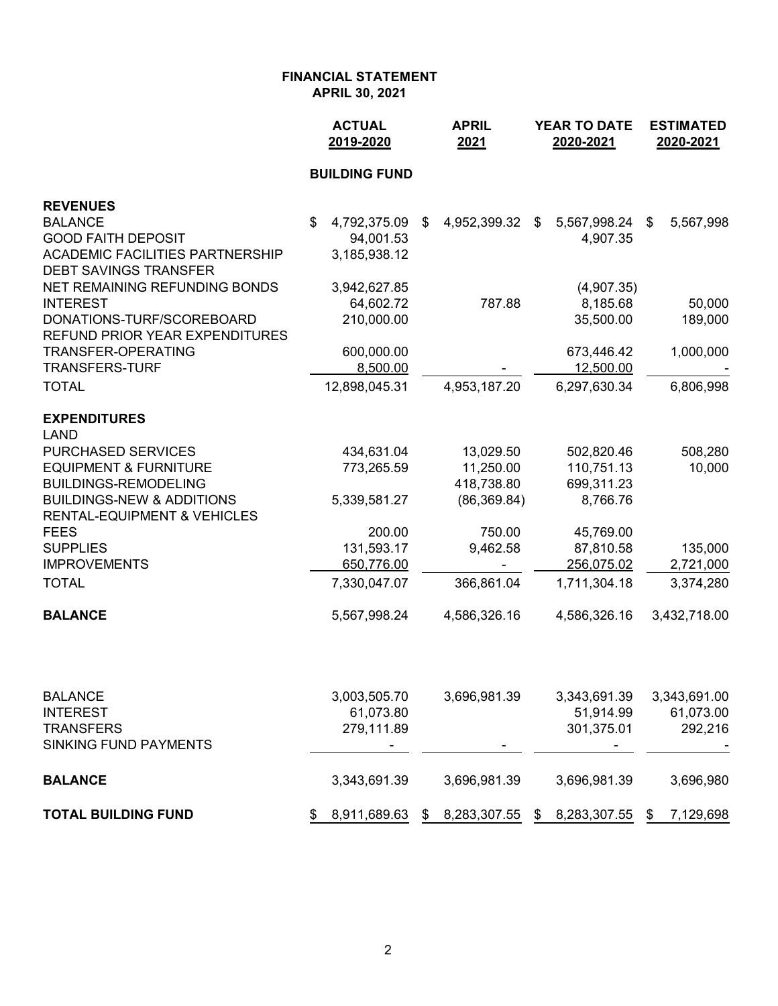|                                             | <b>ACTUAL</b><br>2019-2020 | <b>APRIL</b><br>2021   | <b>YEAR TO DATE</b><br>2020-2021 | <b>ESTIMATED</b><br>2020-2021          |  |  |
|---------------------------------------------|----------------------------|------------------------|----------------------------------|----------------------------------------|--|--|
|                                             | <b>BUILDING FUND</b>       |                        |                                  |                                        |  |  |
| <b>REVENUES</b>                             |                            |                        |                                  |                                        |  |  |
| <b>BALANCE</b>                              | \$<br>4,792,375.09         | 4,952,399.32<br>\$     | $\$\$<br>5,567,998.24            | $\boldsymbol{\mathsf{S}}$<br>5,567,998 |  |  |
| <b>GOOD FAITH DEPOSIT</b>                   | 94,001.53                  |                        | 4,907.35                         |                                        |  |  |
| <b>ACADEMIC FACILITIES PARTNERSHIP</b>      | 3,185,938.12               |                        |                                  |                                        |  |  |
| <b>DEBT SAVINGS TRANSFER</b>                |                            |                        |                                  |                                        |  |  |
| NET REMAINING REFUNDING BONDS               | 3,942,627.85               |                        | (4,907.35)                       |                                        |  |  |
| <b>INTEREST</b>                             | 64,602.72                  | 787.88                 | 8,185.68                         | 50,000                                 |  |  |
| DONATIONS-TURF/SCOREBOARD                   | 210,000.00                 |                        | 35,500.00                        | 189,000                                |  |  |
| <b>REFUND PRIOR YEAR EXPENDITURES</b>       |                            |                        |                                  |                                        |  |  |
| TRANSFER-OPERATING<br><b>TRANSFERS-TURF</b> | 600,000.00<br>8,500.00     |                        | 673,446.42<br>12,500.00          | 1,000,000                              |  |  |
|                                             |                            |                        |                                  |                                        |  |  |
| <b>TOTAL</b>                                | 12,898,045.31              | 4,953,187.20           | 6,297,630.34                     | 6,806,998                              |  |  |
| <b>EXPENDITURES</b>                         |                            |                        |                                  |                                        |  |  |
| <b>LAND</b><br><b>PURCHASED SERVICES</b>    | 434,631.04                 |                        |                                  | 508,280                                |  |  |
| <b>EQUIPMENT &amp; FURNITURE</b>            | 773,265.59                 | 13,029.50<br>11,250.00 | 502,820.46<br>110,751.13         | 10,000                                 |  |  |
| <b>BUILDINGS-REMODELING</b>                 |                            | 418,738.80             | 699,311.23                       |                                        |  |  |
| <b>BUILDINGS-NEW &amp; ADDITIONS</b>        | 5,339,581.27               | (86, 369.84)           | 8,766.76                         |                                        |  |  |
| <b>RENTAL-EQUIPMENT &amp; VEHICLES</b>      |                            |                        |                                  |                                        |  |  |
| <b>FEES</b>                                 | 200.00                     | 750.00                 | 45,769.00                        |                                        |  |  |
| <b>SUPPLIES</b>                             | 131,593.17                 | 9,462.58               | 87,810.58                        | 135,000                                |  |  |
| <b>IMPROVEMENTS</b>                         | 650,776.00                 |                        | 256,075.02                       | 2,721,000                              |  |  |
| <b>TOTAL</b>                                | 7,330,047.07               | 366,861.04             | 1,711,304.18                     | 3,374,280                              |  |  |
| <b>BALANCE</b>                              | 5,567,998.24               | 4,586,326.16           | 4,586,326.16                     | 3,432,718.00                           |  |  |
|                                             |                            |                        |                                  |                                        |  |  |
| <b>BALANCE</b>                              | 3,003,505.70               | 3,696,981.39           | 3,343,691.39                     | 3,343,691.00                           |  |  |
| <b>INTEREST</b>                             | 61,073.80                  |                        | 51,914.99                        | 61,073.00                              |  |  |
| <b>TRANSFERS</b>                            | 279,111.89                 |                        | 301,375.01                       | 292,216                                |  |  |
| <b>SINKING FUND PAYMENTS</b>                |                            |                        |                                  |                                        |  |  |
|                                             |                            |                        |                                  |                                        |  |  |

**BALANCE** 3,343,691.39 3,696,981.39 3,696,981.39 3,696,980 **TOTAL BUILDING FUND** \$ 8,911,689.63 \$ 8,283,307.55 \$ 8,283,307.55 \$ 7,129,698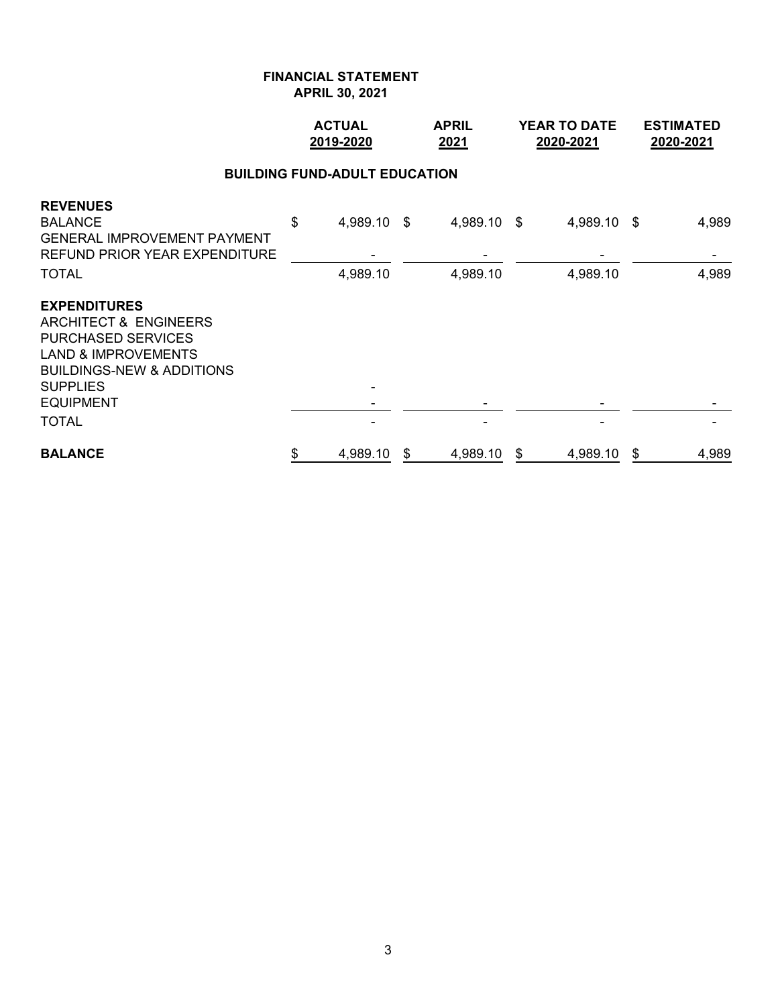|                                                                                                                                                                                                                       |    | <b>ACTUAL</b><br>2019-2020 |    | <b>APRIL</b><br>2021    |    | <b>YEAR TO DATE</b><br>2020-2021 | <b>ESTIMATED</b><br>2020-2021 |                |  |  |  |  |
|-----------------------------------------------------------------------------------------------------------------------------------------------------------------------------------------------------------------------|----|----------------------------|----|-------------------------|----|----------------------------------|-------------------------------|----------------|--|--|--|--|
| <b>BUILDING FUND-ADULT EDUCATION</b>                                                                                                                                                                                  |    |                            |    |                         |    |                                  |                               |                |  |  |  |  |
| <b>REVENUES</b><br><b>BALANCE</b><br><b>GENERAL IMPROVEMENT PAYMENT</b><br><b>REFUND PRIOR YEAR EXPENDITURE</b><br><b>TOTAL</b>                                                                                       | \$ | 4,989.10<br>4,989.10       | \$ | 4,989.10 \$<br>4,989.10 |    | 4,989.10 \$<br>4,989.10          |                               | 4,989<br>4,989 |  |  |  |  |
| <b>EXPENDITURES</b><br><b>ARCHITECT &amp; ENGINEERS</b><br><b>PURCHASED SERVICES</b><br><b>LAND &amp; IMPROVEMENTS</b><br><b>BUILDINGS-NEW &amp; ADDITIONS</b><br><b>SUPPLIES</b><br><b>EQUIPMENT</b><br><b>TOTAL</b> |    |                            |    |                         |    |                                  |                               |                |  |  |  |  |
| <b>BALANCE</b>                                                                                                                                                                                                        | \$ | 4,989.10                   | \$ | 4,989.10                | \$ | 4,989.10                         | \$                            | 4,989          |  |  |  |  |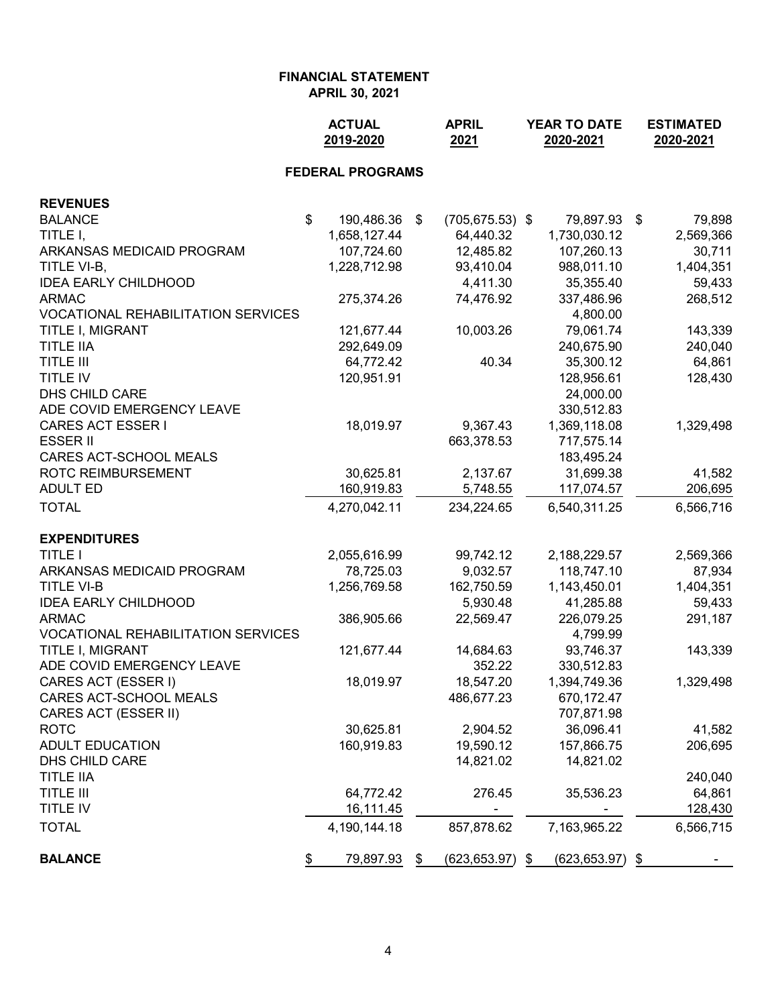|                                           | <b>ACTUAL</b><br>2019-2020 |                         |    | <b>APRIL</b><br>2021 | YEAR TO DATE<br>2020-2021 |              | <b>ESTIMATED</b><br>2020-2021 |           |
|-------------------------------------------|----------------------------|-------------------------|----|----------------------|---------------------------|--------------|-------------------------------|-----------|
|                                           |                            | <b>FEDERAL PROGRAMS</b> |    |                      |                           |              |                               |           |
| <b>REVENUES</b>                           |                            |                         |    |                      |                           |              |                               |           |
| <b>BALANCE</b>                            | \$                         | 190,486.36 \$           |    | $(705, 675.53)$ \$   |                           | 79,897.93    | \$                            | 79,898    |
| TITLE I,                                  |                            | 1,658,127.44            |    | 64,440.32            |                           | 1,730,030.12 |                               | 2,569,366 |
| ARKANSAS MEDICAID PROGRAM                 |                            | 107,724.60              |    | 12,485.82            |                           | 107,260.13   |                               | 30,711    |
| TITLE VI-B,                               |                            | 1,228,712.98            |    | 93,410.04            |                           | 988,011.10   |                               | 1,404,351 |
| <b>IDEA EARLY CHILDHOOD</b>               |                            |                         |    | 4,411.30             |                           | 35,355.40    |                               | 59,433    |
| <b>ARMAC</b>                              |                            | 275,374.26              |    | 74,476.92            |                           | 337,486.96   |                               | 268,512   |
| <b>VOCATIONAL REHABILITATION SERVICES</b> |                            |                         |    |                      |                           | 4,800.00     |                               |           |
| TITLE I, MIGRANT                          |                            | 121,677.44              |    | 10,003.26            |                           | 79,061.74    |                               | 143,339   |
| <b>TITLE IIA</b>                          |                            | 292,649.09              |    |                      |                           | 240,675.90   |                               | 240,040   |
| <b>TITLE III</b>                          |                            | 64,772.42               |    | 40.34                |                           | 35,300.12    |                               | 64,861    |
| TITLE IV                                  |                            | 120,951.91              |    |                      |                           | 128,956.61   |                               | 128,430   |
| DHS CHILD CARE                            |                            |                         |    |                      |                           | 24,000.00    |                               |           |
| ADE COVID EMERGENCY LEAVE                 |                            |                         |    |                      |                           | 330,512.83   |                               |           |
| <b>CARES ACT ESSER I</b>                  |                            | 18,019.97               |    | 9,367.43             |                           | 1,369,118.08 |                               | 1,329,498 |
| <b>ESSER II</b>                           |                            |                         |    | 663,378.53           |                           | 717,575.14   |                               |           |
| CARES ACT-SCHOOL MEALS                    |                            |                         |    |                      |                           | 183,495.24   |                               |           |
| <b>ROTC REIMBURSEMENT</b>                 |                            | 30,625.81               |    | 2,137.67             |                           | 31,699.38    |                               | 41,582    |
| <b>ADULT ED</b>                           |                            | 160,919.83              |    | 5,748.55             |                           | 117,074.57   |                               | 206,695   |
| <b>TOTAL</b>                              |                            | 4,270,042.11            |    | 234,224.65           |                           | 6,540,311.25 |                               | 6,566,716 |
| <b>EXPENDITURES</b>                       |                            |                         |    |                      |                           |              |                               |           |
| <b>TITLE I</b>                            |                            | 2,055,616.99            |    | 99,742.12            |                           | 2,188,229.57 |                               | 2,569,366 |
| ARKANSAS MEDICAID PROGRAM                 |                            | 78,725.03               |    | 9,032.57             |                           | 118,747.10   |                               | 87,934    |
| <b>TITLE VI-B</b>                         |                            | 1,256,769.58            |    | 162,750.59           |                           | 1,143,450.01 |                               | 1,404,351 |
| <b>IDEA EARLY CHILDHOOD</b>               |                            |                         |    | 5,930.48             |                           | 41,285.88    |                               | 59,433    |
| <b>ARMAC</b>                              |                            | 386,905.66              |    | 22,569.47            |                           | 226,079.25   |                               | 291,187   |
| <b>VOCATIONAL REHABILITATION SERVICES</b> |                            |                         |    |                      |                           | 4,799.99     |                               |           |
| TITLE I, MIGRANT                          |                            | 121,677.44              |    | 14,684.63            |                           | 93,746.37    |                               | 143,339   |
| ADE COVID EMERGENCY LEAVE                 |                            |                         |    | 352.22               |                           | 330,512.83   |                               |           |
| CARES ACT (ESSER I)                       |                            | 18,019.97               |    | 18,547.20            |                           | 1,394,749.36 |                               | 1,329,498 |
| CARES ACT-SCHOOL MEALS                    |                            |                         |    | 486,677.23           |                           | 670,172.47   |                               |           |
| CARES ACT (ESSER II)                      |                            |                         |    |                      |                           | 707,871.98   |                               |           |
| <b>ROTC</b>                               |                            | 30,625.81               |    | 2,904.52             |                           | 36,096.41    |                               | 41,582    |
| <b>ADULT EDUCATION</b>                    |                            | 160,919.83              |    | 19,590.12            |                           | 157,866.75   |                               | 206,695   |
| DHS CHILD CARE                            |                            |                         |    | 14,821.02            |                           | 14,821.02    |                               |           |
| <b>TITLE IIA</b>                          |                            |                         |    |                      |                           |              |                               | 240,040   |
| <b>TITLE III</b>                          |                            | 64,772.42               |    | 276.45               |                           | 35,536.23    |                               | 64,861    |
| TITLE IV                                  |                            | 16,111.45               |    |                      |                           |              |                               | 128,430   |
| <b>TOTAL</b>                              |                            | 4,190,144.18            |    | 857,878.62           |                           | 7,163,965.22 |                               | 6,566,715 |
| <b>BALANCE</b>                            | \$                         | 79,897.93               | \$ | $(623, 653.97)$ \$   |                           | (623,653.97) | \$                            |           |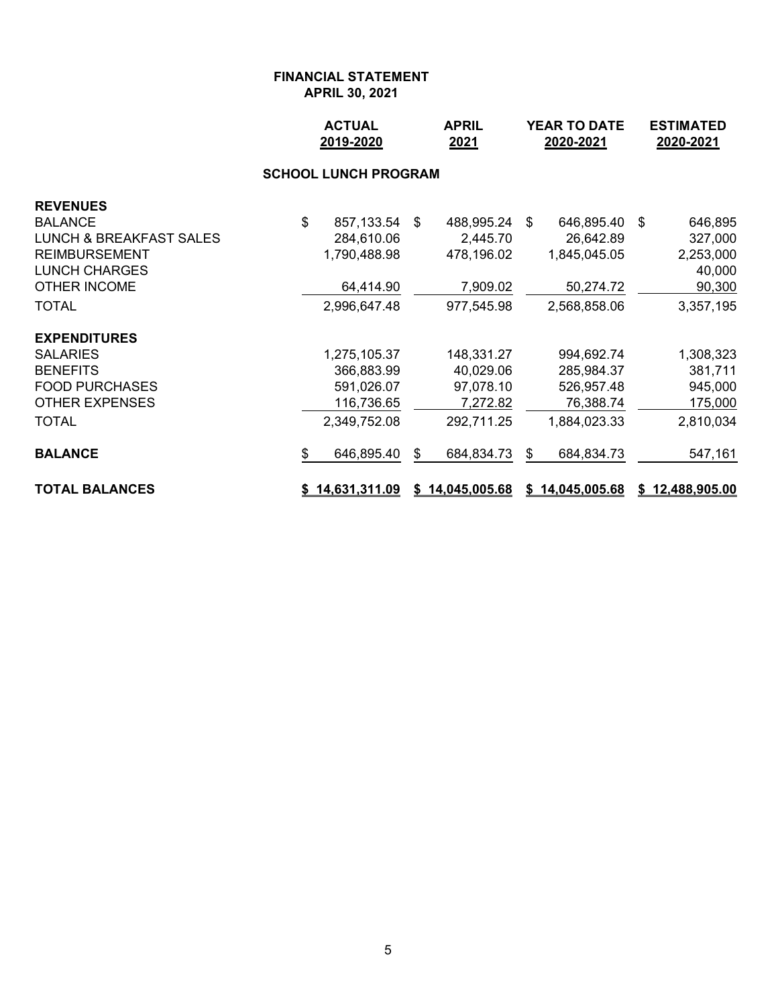|                                    |    | <b>ACTUAL</b><br>2019-2020 |   | <b>APRIL</b><br>2021 | <b>YEAR TO DATE</b><br>2020-2021 |                 |  | <b>ESTIMATED</b><br>2020-2021 |  |  |  |  |
|------------------------------------|----|----------------------------|---|----------------------|----------------------------------|-----------------|--|-------------------------------|--|--|--|--|
| <b>SCHOOL LUNCH PROGRAM</b>        |    |                            |   |                      |                                  |                 |  |                               |  |  |  |  |
| <b>REVENUES</b>                    |    |                            |   |                      |                                  |                 |  |                               |  |  |  |  |
| <b>BALANCE</b>                     | \$ | 857,133.54 \$              |   | 488,995.24 \$        |                                  | 646,895.40 \$   |  | 646,895                       |  |  |  |  |
| <b>LUNCH &amp; BREAKFAST SALES</b> |    | 284,610.06                 |   | 2,445.70             |                                  | 26,642.89       |  | 327,000                       |  |  |  |  |
| <b>REIMBURSEMENT</b>               |    | 1,790,488.98               |   | 478,196.02           |                                  | 1,845,045.05    |  | 2,253,000                     |  |  |  |  |
| <b>LUNCH CHARGES</b>               |    |                            |   |                      |                                  |                 |  | 40,000                        |  |  |  |  |
| <b>OTHER INCOME</b>                |    | 64,414.90                  |   | 7,909.02             |                                  | 50,274.72       |  | 90,300                        |  |  |  |  |
| <b>TOTAL</b>                       |    | 2,996,647.48               |   | 977,545.98           |                                  | 2,568,858.06    |  | 3,357,195                     |  |  |  |  |
| <b>EXPENDITURES</b>                |    |                            |   |                      |                                  |                 |  |                               |  |  |  |  |
| <b>SALARIES</b>                    |    | 1,275,105.37               |   | 148,331.27           |                                  | 994,692.74      |  | 1,308,323                     |  |  |  |  |
| <b>BENEFITS</b>                    |    | 366,883.99                 |   | 40,029.06            |                                  | 285,984.37      |  | 381,711                       |  |  |  |  |
| <b>FOOD PURCHASES</b>              |    | 591,026.07                 |   | 97,078.10            |                                  | 526,957.48      |  | 945,000                       |  |  |  |  |
| <b>OTHER EXPENSES</b>              |    | 116,736.65                 |   | 7,272.82             |                                  | 76,388.74       |  | 175,000                       |  |  |  |  |
| <b>TOTAL</b>                       |    | 2,349,752.08               |   | 292,711.25           |                                  | 1,884,023.33    |  | 2,810,034                     |  |  |  |  |
| <b>BALANCE</b>                     | \$ | 646,895.40                 | S | 684,834.73           | \$.                              | 684,834.73      |  | 547,161                       |  |  |  |  |
| <b>TOTAL BALANCES</b>              |    | \$14,631,311.09            |   | \$14,045,005.68      |                                  | \$14,045,005.68 |  | \$12,488,905.00               |  |  |  |  |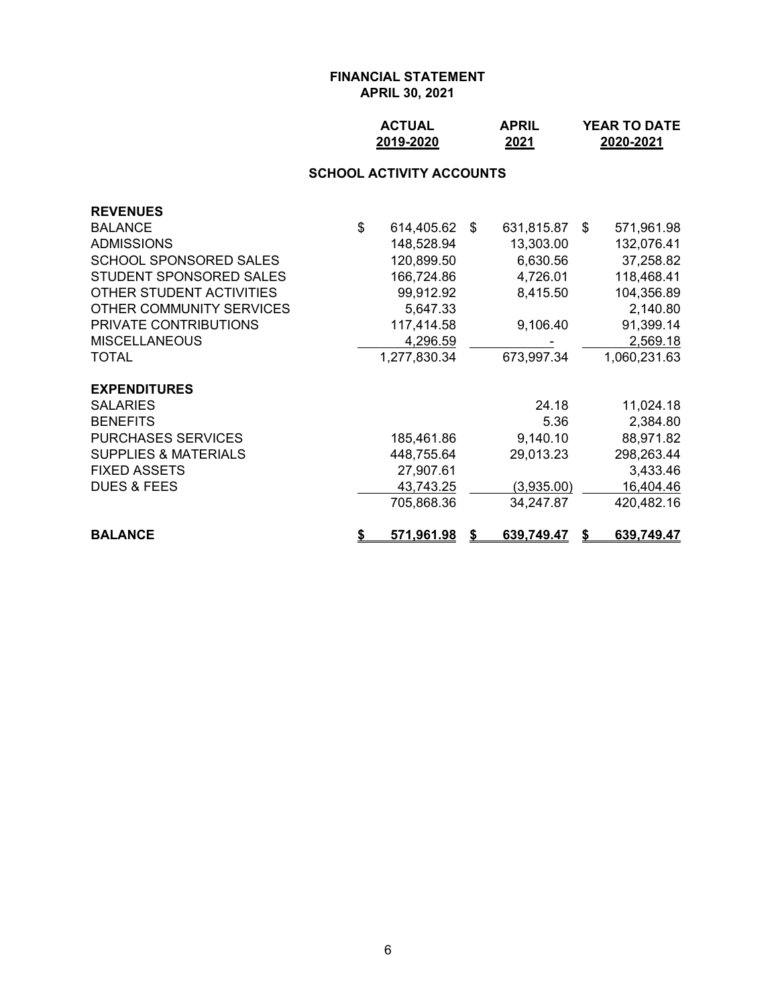## **ACTUAL APRIL YEAR TO DATE 2019-2020 2021 2020-2021**

#### **SCHOOL ACTIVITY ACCOUNTS**

| <b>BALANCE</b>                         | 571,961.98          | S. | 639,749.47 | S  | 639,749.47   |
|----------------------------------------|---------------------|----|------------|----|--------------|
|                                        | 705,868.36          |    | 34,247.87  |    | 420,482.16   |
| <b>DUES &amp; FEES</b>                 | 43,743.25           |    | (3,935.00) |    | 16,404.46    |
| <b>FIXED ASSETS</b>                    | 27,907.61           |    |            |    | 3,433.46     |
| <b>SUPPLIES &amp; MATERIALS</b>        | 448,755.64          |    | 29,013.23  |    | 298,263.44   |
| <b>PURCHASES SERVICES</b>              | 185,461.86          |    | 9,140.10   |    | 88,971.82    |
| <b>BENEFITS</b>                        |                     |    | 5.36       |    | 2,384.80     |
| <b>EXPENDITURES</b><br><b>SALARIES</b> |                     |    | 24.18      |    | 11,024.18    |
| <b>TOTAL</b>                           | 1,277,830.34        |    | 673,997.34 |    | 1,060,231.63 |
| <b>MISCELLANEOUS</b>                   | 4,296.59            |    |            |    | 2,569.18     |
| PRIVATE CONTRIBUTIONS                  | 117,414.58          |    | 9,106.40   |    | 91,399.14    |
| OTHER COMMUNITY SERVICES               | 5,647.33            |    |            |    | 2,140.80     |
| OTHER STUDENT ACTIVITIES               | 99,912.92           |    | 8,415.50   |    | 104,356.89   |
| STUDENT SPONSORED SALES                | 166,724.86          |    | 4,726.01   |    | 118,468.41   |
| <b>SCHOOL SPONSORED SALES</b>          | 120,899.50          |    | 6,630.56   |    | 37,258.82    |
| <b>ADMISSIONS</b>                      | 148,528.94          |    | 13,303.00  |    | 132,076.41   |
| <b>BALANCE</b>                         | \$<br>614,405.62 \$ |    | 631,815.87 | -S | 571,961.98   |
| <b>REVENUES</b>                        |                     |    |            |    |              |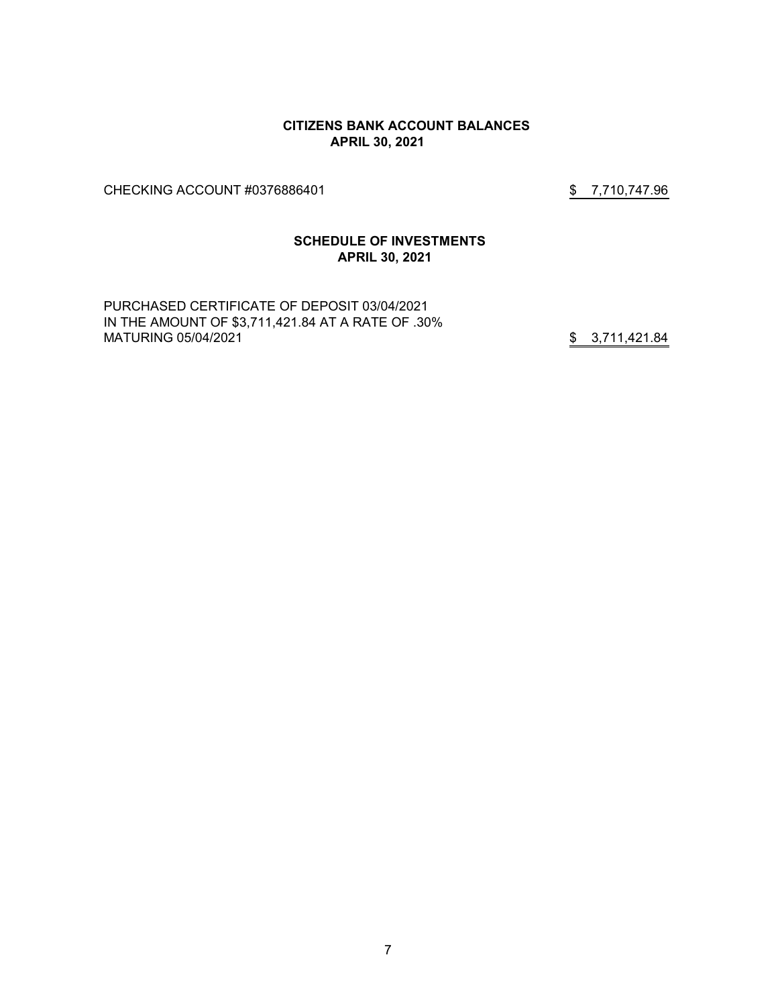#### **CITIZENS BANK ACCOUNT BALANCES APRIL 30, 2021**

CHECKING ACCOUNT #0376886401 \$7,710,747.96

## **SCHEDULE OF INVESTMENTS APRIL 30, 2021**

PURCHASED CERTIFICATE OF DEPOSIT 03/04/2021 IN THE AMOUNT OF \$3,711,421.84 AT A RATE OF .30% MATURING 05/04/2021 3.711,421.84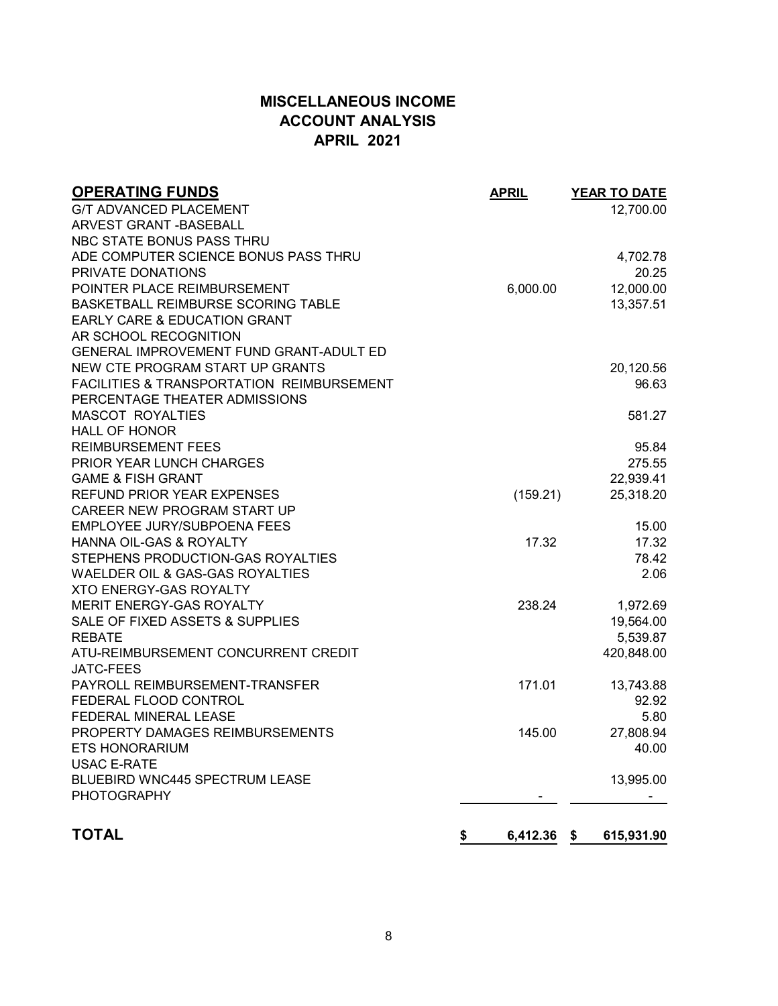# **MISCELLANEOUS INCOME ACCOUNT ANALYSIS APRIL 2021**

| <b>OPERATING FUNDS</b>                    | <b>APRIL</b> | <b>YEAR TO DATE</b> |
|-------------------------------------------|--------------|---------------------|
| <b>G/T ADVANCED PLACEMENT</b>             |              | 12,700.00           |
| <b>ARVEST GRANT - BASEBALL</b>            |              |                     |
| NBC STATE BONUS PASS THRU                 |              |                     |
| ADE COMPUTER SCIENCE BONUS PASS THRU      |              | 4,702.78            |
| PRIVATE DONATIONS                         |              | 20.25               |
| POINTER PLACE REIMBURSEMENT               | 6,000.00     | 12,000.00           |
| BASKETBALL REIMBURSE SCORING TABLE        |              | 13,357.51           |
| <b>EARLY CARE &amp; EDUCATION GRANT</b>   |              |                     |
| AR SCHOOL RECOGNITION                     |              |                     |
| GENERAL IMPROVEMENT FUND GRANT-ADULT ED   |              |                     |
| NEW CTE PROGRAM START UP GRANTS           |              | 20,120.56           |
| FACILITIES & TRANSPORTATION REIMBURSEMENT |              | 96.63               |
| PERCENTAGE THEATER ADMISSIONS             |              |                     |
| <b>MASCOT ROYALTIES</b>                   |              | 581.27              |
| <b>HALL OF HONOR</b>                      |              |                     |
| <b>REIMBURSEMENT FEES</b>                 |              | 95.84               |
| PRIOR YEAR LUNCH CHARGES                  |              | 275.55              |
| <b>GAME &amp; FISH GRANT</b>              |              | 22,939.41           |
| <b>REFUND PRIOR YEAR EXPENSES</b>         | (159.21)     | 25,318.20           |
| CAREER NEW PROGRAM START UP               |              |                     |
| <b>EMPLOYEE JURY/SUBPOENA FEES</b>        |              | 15.00               |
| HANNA OIL-GAS & ROYALTY                   | 17.32        | 17.32               |
| STEPHENS PRODUCTION-GAS ROYALTIES         |              | 78.42               |
| WAELDER OIL & GAS-GAS ROYALTIES           |              | 2.06                |
| <b>XTO ENERGY-GAS ROYALTY</b>             |              |                     |
| MERIT ENERGY-GAS ROYALTY                  | 238.24       | 1,972.69            |
| SALE OF FIXED ASSETS & SUPPLIES           |              | 19,564.00           |
| <b>REBATE</b>                             |              | 5,539.87            |
| ATU-REIMBURSEMENT CONCURRENT CREDIT       |              | 420,848.00          |
| <b>JATC-FEES</b>                          |              |                     |
| PAYROLL REIMBURSEMENT-TRANSFER            | 171.01       | 13,743.88           |
| FEDERAL FLOOD CONTROL                     |              | 92.92               |
| FEDERAL MINERAL LEASE                     |              | 5.80                |
| PROPERTY DAMAGES REIMBURSEMENTS           | 145.00       | 27,808.94           |
| <b>ETS HONORARIUM</b>                     |              | 40.00               |
| <b>USAC E-RATE</b>                        |              |                     |
| BLUEBIRD WNC445 SPECTRUM LEASE            |              | 13,995.00           |
| <b>PHOTOGRAPHY</b>                        |              |                     |
| <b>TOTAL</b><br>\$                        | 6,412.36     | 615,931.90<br>\$    |
|                                           |              |                     |